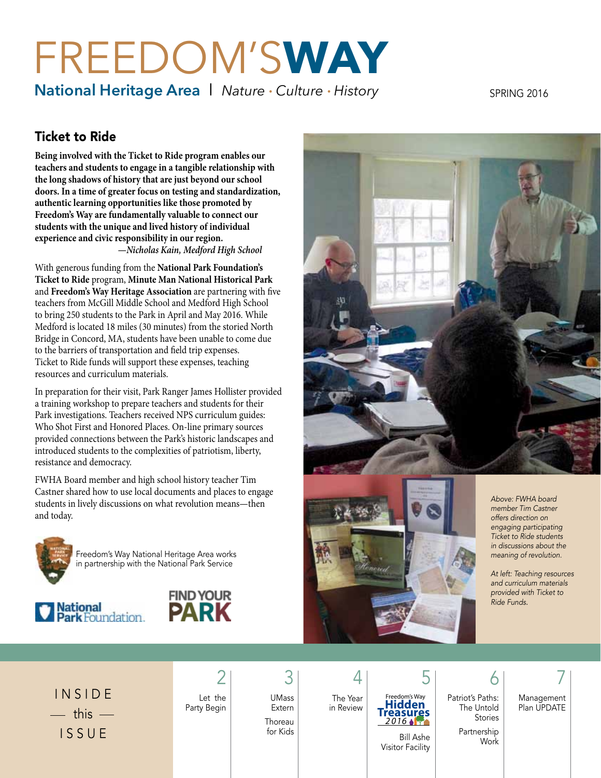# FREEDOM'S**WAY**

**National Heritage Area | Nature · Culture · History** 

SPRING 2016

# Ticket to Ride

**Being involved with the Ticket to Ride program enables our teachers and students to engage in a tangible relationship with the long shadows of history that are just beyond our school doors. In a time of greater focus on testing and standardization, authentic learning opportunities like those promoted by Freedom's Way are fundamentally valuable to connect our students with the unique and lived history of individual experience and civic responsibility in our region.**

*—Nicholas Kain, Medford High School* 

With generous funding from the **National Park Foundation's Ticket to Ride** program, **Minute Man National Historical Park** and **Freedom's Way Heritage Association** are partnering with five teachers from McGill Middle School and Medford High School to bring 250 students to the Park in April and May 2016. While Medford is located 18 miles (30 minutes) from the storied North Bridge in Concord, MA, students have been unable to come due to the barriers of transportation and field trip expenses. Ticket to Ride funds will support these expenses, teaching resources and curriculum materials.

In preparation for their visit, Park Ranger James Hollister provided a training workshop to prepare teachers and students for their Park investigations. Teachers received NPS curriculum guides: Who Shot First and Honored Places. On-line primary sources provided connections between the Park's historic landscapes and introduced students to the complexities of patriotism, liberty, resistance and democracy.

FWHA Board member and high school history teacher Tim Castner shared how to use local documents and places to engage students in lively discussions on what revolution means—then and today.



Freedom's Way National Heritage Area works in partnership with the National Park Service









*Above: FWHA board member Tim Castner offers direction on engaging participating Ticket to Ride students in discussions about the meaning of revolution.*

*At left: Teaching resources and curriculum materials provided with Ticket to Ride Funds.*

I N S I D E  $-$  this  $-$ I S S U E

Let the Party Begin

UMass Extern Thoreau for Kids

The Year in Review

4

**Treasures Hidden** dom's Way 2016 **APR** 

2  $3$  4 5 6 7 6 Patriot's Paths: The Untold Stories Partnership

Work

Management Plan UPDATE

Bill Ashe Visitor Facility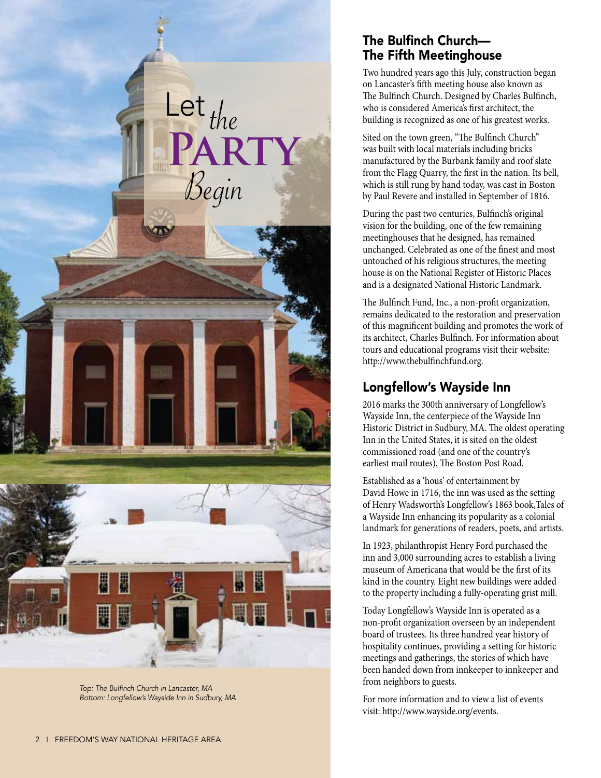

Top: The Bulfinch Church in Lancaster, MA Bottom: Longfellow's Wayside Inn in Sudbury, MA

## The Bulfinch Church— The Fifth Meetinghouse

Two hundred years ago this July, construction began on Lancaster's fifth meeting house also known as The Bulfinch Church. Designed by Charles Bulfinch, who is considered America's first architect, the building is recognized as one of his greatest works.

Sited on the town green, "The Bulfinch Church" was built with local materials including bricks manufactured by the Burbank family and roof slate from the Flagg Quarry, the first in the nation. Its bell, which is still rung by hand today, was cast in Boston by Paul Revere and installed in September of 1816.

During the past two centuries, Bulfinch's original vision for the building, one of the few remaining meetinghouses that he designed, has remained unchanged. Celebrated as one of the finest and most untouched of his religious structures, the meeting house is on the National Register of Historic Places and is a designated National Historic Landmark.

The Bulfinch Fund, Inc., a non-profit organization, remains dedicated to the restoration and preservation of this magnificent building and promotes the work of its architect, Charles Bulfinch. For information about tours and educational programs visit their website: http://www.thebulfinchfund.org.

# Longfellow's Wayside Inn

2016 marks the 300th anniversary of Longfellow's Wayside Inn, the centerpiece of the Wayside Inn Historic District in Sudbury, MA. The oldest operating Inn in the United States, it is sited on the oldest commissioned road (and one of the country's earliest mail routes), The Boston Post Road.

Established as a 'hous' of entertainment by David Howe in 1716, the inn was used as the setting of Henry Wadsworth's Longfellow's 1863 book,Tales of a Wayside Inn enhancing its popularity as a colonial landmark for generations of readers, poets, and artists.

In 1923, philanthropist Henry Ford purchased the inn and 3,000 surrounding acres to establish a living museum of Americana that would be the first of its kind in the country. Eight new buildings were added to the property including a fully-operating grist mill.

Today Longfellow's Wayside Inn is operated as a non-profit organization overseen by an independent board of trustees. Its three hundred year history of hospitality continues, providing a setting for historic meetings and gatherings, the stories of which have been handed down from innkeeper to innkeeper and from neighbors to guests.

For more information and to view a list of events visit: http://www.wayside.org/events.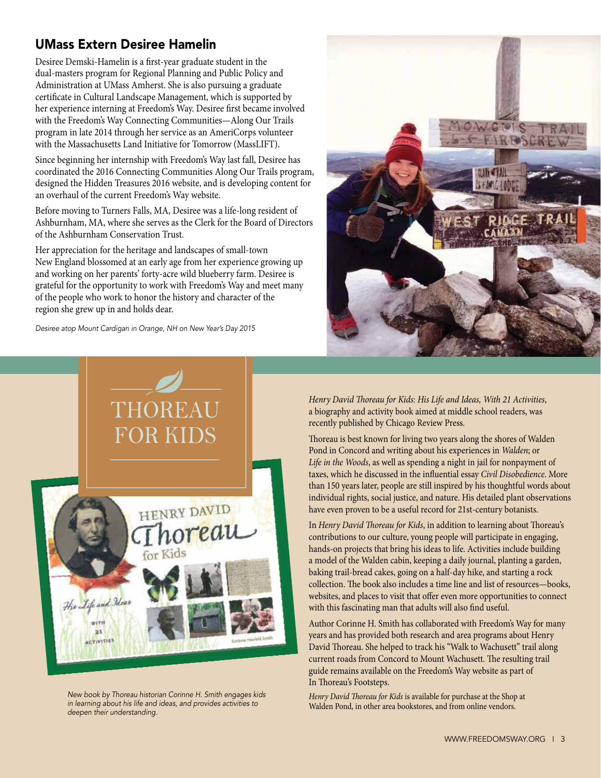# UMass Extern Desiree Hamelin

Desiree Demski-Hamelin is a first-year graduate student in the dual-masters program for Regional Planning and Public Policy and Administration at UMass Amherst. She is also pursuing a graduate certificate in Cultural Landscape Management, which is supported by her experience interning at Freedom's Way. Desiree first became involved with the Freedom's Way Connecting Communities—Along Our Trails program in late 2014 through her service as an AmeriCorps volunteer with the Massachusetts Land Initiative for Tomorrow (MassLIFT).

Since beginning her internship with Freedom's Way last fall, Desiree has coordinated the 2016 Connecting Communities Along Our Trails program, designed the Hidden Treasures 2016 website, and is developing content for an overhaul of the current Freedom's Way website.

Before moving to Turners Falls, MA, Desiree was a life-long resident of Ashburnham, MA, where she serves as the Clerk for the Board of Directors of the Ashburnham Conservation Trust.

Her appreciation for the heritage and landscapes of small-town New England blossomed at an early age from her experience growing up and working on her parents' forty-acre wild blueberry farm. Desiree is grateful for the opportunity to work with Freedom's Way and meet many of the people who work to honor the history and character of the region she grew up in and holds dear.

Desiree atop Mount Cardigan in Orange, NH on New Year's Day 2015



New book by Thoreau historian Corinne H. Smith engages kids in learning about his life and ideas, and provides activities to *deepen their understanding.*



*Henry David Thoreau for Kids: His Life and Ideas, With 21 Activities*, a biography and activity book aimed at middle school readers, was recently published by Chicago Review Press.

Thoreau is best known for living two years along the shores of Walden Pond in Concord and writing about his experiences in *Walden*; or *Life in the Woods*, as well as spending a night in jail for nonpayment of taxes, which he discussed in the influential essay *Civil Disobedience*. More than 150 years later, people are still inspired by his thoughtful words about individual rights, social justice, and nature. His detailed plant observations have even proven to be a useful record for 21st-century botanists.

In *Henry David Thoreau for Kids*, in addition to learning about Thoreau's contributions to our culture, young people will participate in engaging, hands-on projects that bring his ideas to life. Activities include building a model of the Walden cabin, keeping a daily journal, planting a garden, baking trail-bread cakes, going on a half-day hike, and starting a rock collection. The book also includes a time line and list of resources—books, websites, and places to visit that offer even more opportunities to connect with this fascinating man that adults will also find useful.

Author Corinne H. Smith has collaborated with Freedom's Way for many years and has provided both research and area programs about Henry David Thoreau. She helped to track his "Walk to Wachusett" trail along current roads from Concord to Mount Wachusett. The resulting trail guide remains available on the Freedom's Way website as part of In Thoreau's Footsteps.

*Henry David Thoreau for Kids* is available for purchase at the Shop at Walden Pond, in other area bookstores, and from online vendors.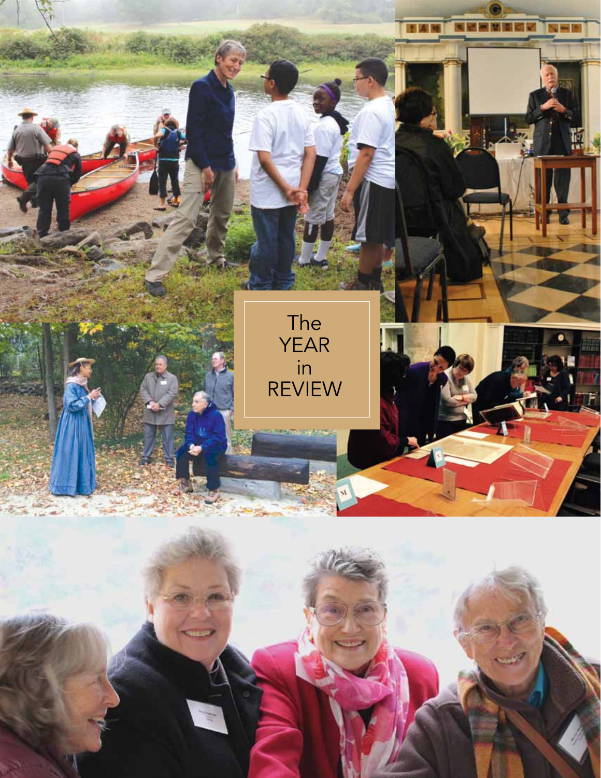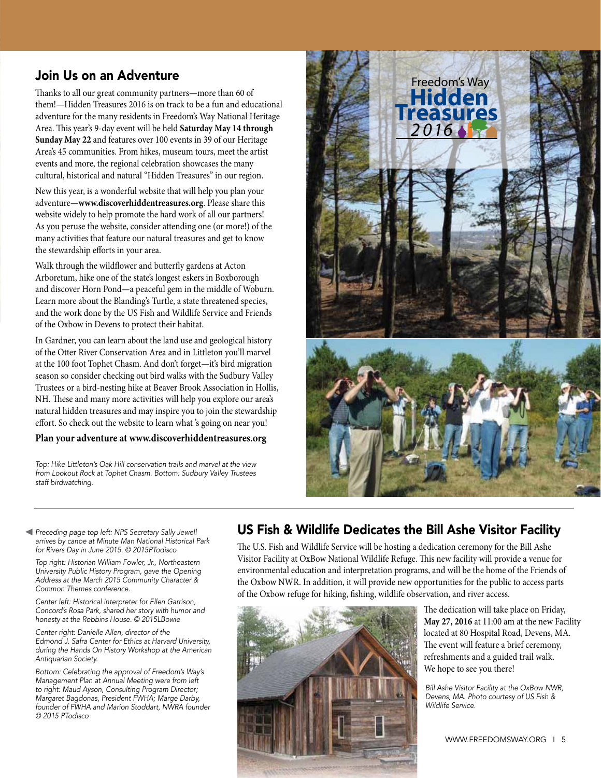### Join Us on an Adventure

Thanks to all our great community partners—more than 60 of them!—Hidden Treasures 2016 is on track to be a fun and educational adventure for the many residents in Freedom's Way National Heritage Area. This year's 9-day event will be held **Saturday May 14 through Sunday May 22** and features over 100 events in 39 of our Heritage Area's 45 communities. From hikes, museum tours, meet the artist events and more, the regional celebration showcases the many cultural, historical and natural "Hidden Treasures" in our region.

New this year, is a wonderful website that will help you plan your adventure—**www.discoverhiddentreasures.org**. Please share this website widely to help promote the hard work of all our partners! As you peruse the website, consider attending one (or more!) of the many activities that feature our natural treasures and get to know the stewardship efforts in your area.

Walk through the wildflower and butterfly gardens at Acton Arboretum, hike one of the state's longest eskers in Boxborough and discover Horn Pond—a peaceful gem in the middle of Woburn. Learn more about the Blanding's Turtle, a state threatened species, and the work done by the US Fish and Wildlife Service and Friends of the Oxbow in Devens to protect their habitat.

In Gardner, you can learn about the land use and geological history of the Otter River Conservation Area and in Littleton you'll marvel at the 100 foot Tophet Chasm. And don't forget—it's bird migration season so consider checking out bird walks with the Sudbury Valley Trustees or a bird-nesting hike at Beaver Brook Association in Hollis, NH. These and many more activities will help you explore our area's natural hidden treasures and may inspire you to join the stewardship effort. So check out the website to learn what 's going on near you!

#### **Plan your adventure at www.discoverhiddentreasures.org**

Top: Hike Littleton's Oak Hill conservation trails and marvel at the view from Lookout Rock at Tophet Chasm. Bottom: Sudbury Valley Trustees *staff birdwatching.*



Preceding page top left: NPS Secretary Sally Jewell arrives by canoe at Minute Man National Historical Park for Rivers Day in June 2015. © 2015PTodisco

Top right: Historian William Fowler, Jr., Northeastern University Public History Program, gave the Opening Address at the March 2015 Community Character & *Common Themes conference.* 

Center left: Historical interpreter for Ellen Garrison, Concord's Rosa Park, shared her story with humor and honesty at the Robbins House. © 2015LBowie

Center right: Danielle Allen, director of the Edmond J. Safra Center for Ethics at Harvard University, during the Hands On History Workshop at the American Antiquarian Society.

Bottom: Celebrating the approval of Freedom's Way's Management Plan at Annual Meeting were from left to right: Maud Ayson, Consulting Program Director; Margaret Bagdonas, President FWHA; Marge Darby, founder of FWHA and Marion Stoddart, NWRA founder © 2015 PTodisco

### US Fish & Wildlife Dedicates the Bill Ashe Visitor Facility

The U.S. Fish and Wildlife Service will be hosting a dedication ceremony for the Bill Ashe Visitor Facility at OxBow National Wildlife Refuge. This new facility will provide a venue for environmental education and interpretation programs, and will be the home of the Friends of the Oxbow NWR. In addition, it will provide new opportunities for the public to access parts of the Oxbow refuge for hiking, fishing, wildlife observation, and river access.



The dedication will take place on Friday, **May 27, 2016** at 11:00 am at the new Facility located at 80 Hospital Road, Devens, MA. The event will feature a brief ceremony, refreshments and a guided trail walk. We hope to see you there!

Bill Ashe Visitor Facility at the OxBow NWR, Devens, MA. Photo courtesy of US Fish & Wildlife Service.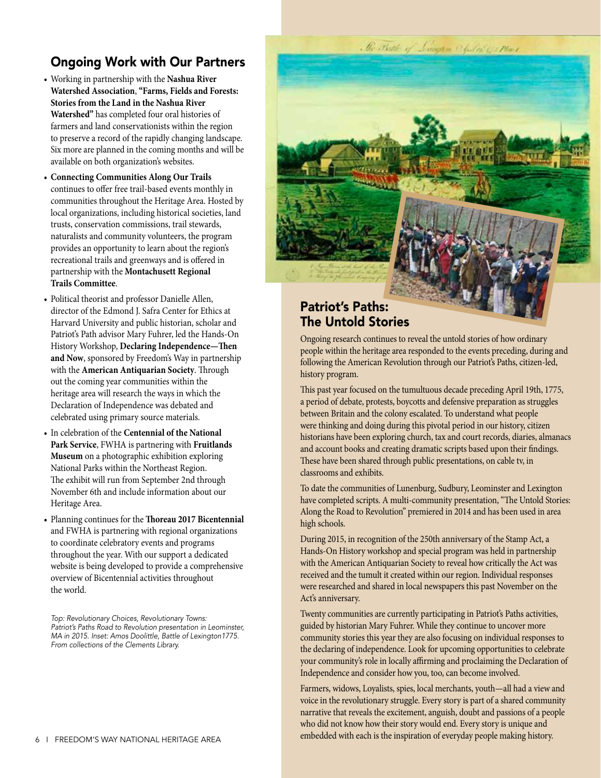# Ongoing Work with Our Partners

- • Working in partnership with the **Nashua River Watershed Association**, **"Farms, Fields and Forests: Stories from the Land in the Nashua River Watershed"** has completed four oral histories of farmers and land conservationists within the region to preserve a record of the rapidly changing landscape. Six more are planned in the coming months and will be available on both organization's websites.
- • **Connecting Communities Along Our Trails** continues to offer free trail-based events monthly in communities throughout the Heritage Area. Hosted by local organizations, including historical societies, land trusts, conservation commissions, trail stewards, naturalists and community volunteers, the program provides an opportunity to learn about the region's recreational trails and greenways and is offered in partnership with the **Montachusett Regional Trails Committee**.
- Political theorist and professor Danielle Allen, director of the Edmond J. Safra Center for Ethics at Harvard University and public historian, scholar and Patriot's Path advisor Mary Fuhrer, led the Hands-On History Workshop, **Declaring Independence—Then and Now**, sponsored by Freedom's Way in partnership with the **American Antiquarian Society**. Through out the coming year communities within the heritage area will research the ways in which the Declaration of Independence was debated and celebrated using primary source materials.
- • In celebration of the **Centennial of the National Park Service**, FWHA is partnering with **Fruitlands Museum** on a photographic exhibition exploring National Parks within the Northeast Region. The exhibit will run from September 2nd through November 6th and include information about our Heritage Area.
- • Planning continues for the **Thoreau 2017 Bicentennial** and FWHA is partnering with regional organizations to coordinate celebratory events and programs throughout the year. With our support a dedicated website is being developed to provide a comprehensive overview of Bicentennial activities throughout the world.

Top: Revolutionary Choices, Revolutionary Towns: Patriot's Paths Road to Revolution presentation in Leominster, MA in 2015. Inset: Amos Doolittle, Battle of Lexington1775. From collections of the Clements Library.



# The Untold Stories

Ongoing research continues to reveal the untold stories of how ordinary people within the heritage area responded to the events preceding, during and following the American Revolution through our Patriot's Paths, citizen-led, history program.

This past year focused on the tumultuous decade preceding April 19th, 1775, a period of debate, protests, boycotts and defensive preparation as struggles between Britain and the colony escalated. To understand what people were thinking and doing during this pivotal period in our history, citizen historians have been exploring church, tax and court records, diaries, almanacs and account books and creating dramatic scripts based upon their findings. These have been shared through public presentations, on cable tv, in classrooms and exhibits.

To date the communities of Lunenburg, Sudbury, Leominster and Lexington have completed scripts. A multi-community presentation, "The Untold Stories: Along the Road to Revolution" premiered in 2014 and has been used in area high schools.

During 2015, in recognition of the 250th anniversary of the Stamp Act, a Hands-On History workshop and special program was held in partnership with the American Antiquarian Society to reveal how critically the Act was received and the tumult it created within our region. Individual responses were researched and shared in local newspapers this past November on the Act's anniversary.

Twenty communities are currently participating in Patriot's Paths activities, guided by historian Mary Fuhrer. While they continue to uncover more community stories this year they are also focusing on individual responses to the declaring of independence. Look for upcoming opportunities to celebrate your community's role in locally affirming and proclaiming the Declaration of Independence and consider how you, too, can become involved.

Farmers, widows, Loyalists, spies, local merchants, youth—all had a view and voice in the revolutionary struggle. Every story is part of a shared community narrative that reveals the excitement, anguish, doubt and passions of a people who did not know how their story would end. Every story is unique and embedded with each is the inspiration of everyday people making history. 6 I FREEDOM'S WAY NATIONAL HERITAGE AREA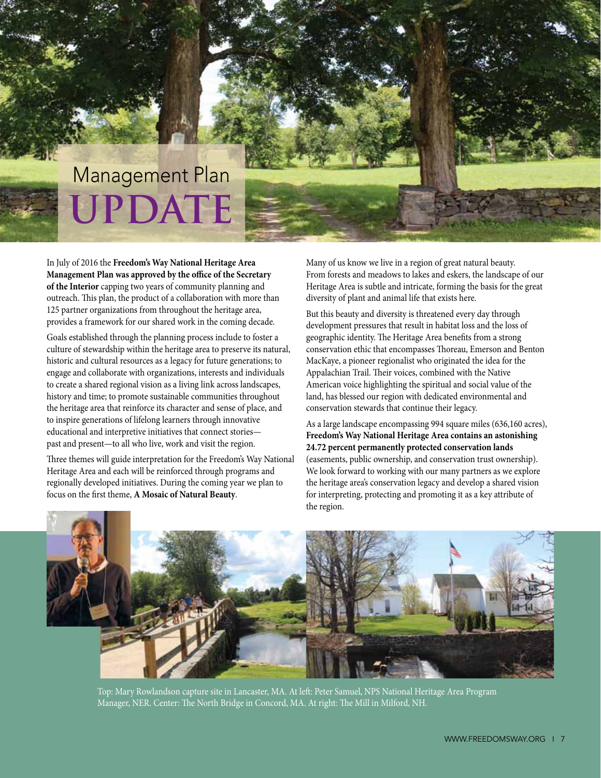# **UPDATE** Management Plan

In July of 2016 the **Freedom's Way National Heritage Area Management Plan was approved by the office of the Secretary of the Interior** capping two years of community planning and outreach. This plan, the product of a collaboration with more than 125 partner organizations from throughout the heritage area, provides a framework for our shared work in the coming decade.

Goals established through the planning process include to foster a culture of stewardship within the heritage area to preserve its natural, historic and cultural resources as a legacy for future generations; to engage and collaborate with organizations, interests and individuals to create a shared regional vision as a living link across landscapes, history and time; to promote sustainable communities throughout the heritage area that reinforce its character and sense of place, and to inspire generations of lifelong learners through innovative educational and interpretive initiatives that connect stories past and present—to all who live, work and visit the region.

Three themes will guide interpretation for the Freedom's Way National Heritage Area and each will be reinforced through programs and regionally developed initiatives. During the coming year we plan to focus on the first theme, **A Mosaic of Natural Beauty**.

Many of us know we live in a region of great natural beauty. From forests and meadows to lakes and eskers, the landscape of our Heritage Area is subtle and intricate, forming the basis for the great diversity of plant and animal life that exists here.

But this beauty and diversity is threatened every day through development pressures that result in habitat loss and the loss of geographic identity. The Heritage Area benefits from a strong conservation ethic that encompasses Thoreau, Emerson and Benton MacKaye, a pioneer regionalist who originated the idea for the Appalachian Trail. Their voices, combined with the Native American voice highlighting the spiritual and social value of the land, has blessed our region with dedicated environmental and conservation stewards that continue their legacy.

As a large landscape encompassing 994 square miles (636,160 acres), **Freedom's Way National Heritage Area contains an astonishing 24.72 percent permanently protected conservation lands** (easements, public ownership, and conservation trust ownership). We look forward to working with our many partners as we explore the heritage area's conservation legacy and develop a shared vision for interpreting, protecting and promoting it as a key attribute of the region.



Top: Mary Rowlandson capture site in Lancaster, MA. At left: Peter Samuel, NPS National Heritage Area Program Manager, NER. Center: The North Bridge in Concord, MA. At right: The Mill in Milford, NH.